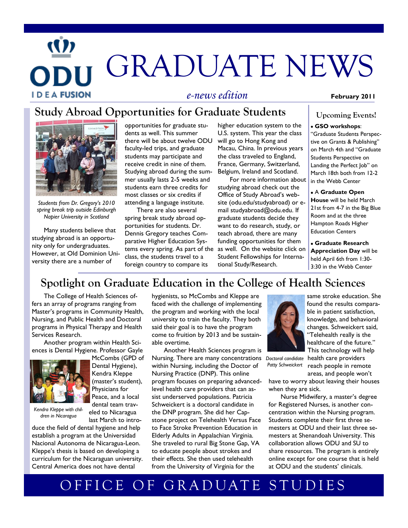# GRADUATE NEWS **IDEAFUSION** *e-news edition* **February 2011**

## **Study Abroad Opportunities for Graduate Students**



*Students from Dr. Gregory's 2010 spring break trip outside Edinburgh Napier University in Scotland* 

Many students believe that studying abroad is an opportunity only for undergraduates. However, at Old Dominion University there are a number of

opportunities for graduate students as well. This summer there will be about twelve ODU faculty-led trips, and graduate students may participate and receive credit in nine of them. Studying abroad during the summer usually lasts 2-5 weeks and students earn three credits for most classes or six credits if attending a language institute.

There are also several spring break study abroad opportunities for students. Dr. Dennis Gregory teaches Comparative Higher Education Sysclass, the students travel to a foreign country to compare its higher education system to the U.S. system. This year the class will go to Hong Kong and Macau, China. In previous years the class traveled to England, France, Germany, Switzerland, Belgium, Ireland and Scotland.

For more information about studying abroad check out the Office of Study Abroad's website (odu.edu/studyabroad) or email studyabroad@odu.edu. If graduate students decide they want to do research, study, or teach abroad, there are many funding opportunities for them tems every spring. As part of the as well. On the website click on Student Fellowships for International Study/Research.

### **Upcoming Events!**

#### **GSO workshops**:

"Graduate Students Perspective on Grants & Publishing" on March 4th and "Graduate Students Perspective on Landing the Perfect Job" on March 18th both from 12-2 in the Webb Center

A **Graduate Open House** will be held March 21st from 4-7 in the Big Blue Room and at the three Hampton Roads Higher Education Centers

**Graduate Research Appreciation Day** will be held April 6th from 1:30- 3:30 in the Webb Center

## **Spotlight on Graduate Education in the College of Health Sciences**

The College of Health Sciences offers an array of programs ranging from Master's programs in Community Health, Nursing, and Public Health and Doctoral programs in Physical Therapy and Health Services Research.

Another program within Health Sciences is Dental Hygiene. Professor Gayle



McCombs (GPD of Dental Hygiene), Kendra Kleppe (master's student), Physicians for Peace, and a local dental team traveled to Nicaragua last March to intro-

*Kendra Kleppe with children in Nicaragua*

duce the field of dental hygiene and help establish a program at the Universidad Nacional Autonoma de Nicaragua-Leon. Kleppe's thesis is based on developing a curriculum for the Nicaraguan university. Central America does not have dental

hygienists, so McCombs and Kleppe are faced with the challenge of implementing the program and working with the local university to train the faculty. They both said their goal is to have the program come to fruition by 2013 and be sustainable overtime.

Another Health Sciences program is Nursing. There are many concentrations within Nursing, including the Doctor of Nursing Practice (DNP). This online program focuses on preparing advancedlevel health care providers that can assist underserved populations. Patricia Schweickert is a doctoral candidate in the DNP program. She did her Capstone project on Telehealth Versus Face to Face Stroke Prevention Education in Elderly Adults in Appalachian Virginia. She traveled to rural Big Stone Gap, VA to educate people about strokes and their effects. She then used telehealth from the University of Virginia for the



same stroke education. She found the results comparable in patient satisfaction, knowledge, and behavioral changes. Schweickert said, "Telehealth really is the healthcare of the future." This technology will help

health care providers reach people in remote *Doctoral candidate Patty Schweickert*

areas, and people won't have to worry about leaving their houses when they are sick.

Nurse Midwifery, a master's degree for Registered Nurses, is another concentration within the Nursing program. Students complete their first three semesters at ODU and their last three semesters at Shenandoah University. This collaboration allows ODU and SU to share resources. The program is entirely online except for one course that is held at ODU and the students' clinicals.

## OFFICE OF GRADUATE STUDIES